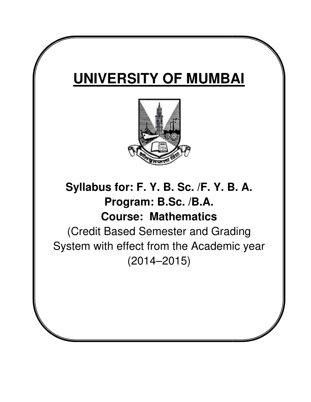# **UNIVERSITY OF MUMBAI**



## **Syllabus for: F. Y. B. Sc. /F. Y. B. A. Sc. /F. Program: B.Sc. /B.A. Course: Mathematics**

(Credit Based Semester and Grading System with effect from the Academic year with effect from the (2014–2015)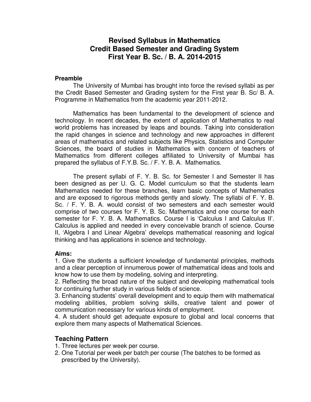## **Revised Syllabus in Mathematics Credit Based Semester and Grading System First Year B. Sc. / B. A. 2014-2015**

#### **Preamble**

 The University of Mumbai has brought into force the revised syllabi as per the Credit Based Semester and Grading system for the First year B. Sc/ B. A. Programme in Mathematics from the academic year 2011-2012.

 Mathematics has been fundamental to the development of science and technology. In recent decades, the extent of application of Mathematics to real world problems has increased by leaps and bounds. Taking into consideration the rapid changes in science and technology and new approaches in different areas of mathematics and related subjects like Physics, Statistics and Computer Sciences, the board of studies in Mathematics with concern of teachers of Mathematics from different colleges affiliated to University of Mumbai has prepared the syllabus of F.Y.B. Sc. / F. Y. B. A. Mathematics.

 The present syllabi of F. Y. B. Sc. for Semester I and Semester II has been designed as per U. G. C. Model curriculum so that the students learn Mathematics needed for these branches, learn basic concepts of Mathematics and are exposed to rigorous methods gently and slowly. The syllabi of F. Y. B. Sc. / F. Y. B. A. would consist of two semesters and each semester would comprise of two courses for F. Y. B. Sc. Mathematics and one course for each semester for F. Y. B. A. Mathematics. Course I is 'Calculus I and Calculus II'. Calculus is applied and needed in every conceivable branch of science. Course II, 'Algebra I and Linear Algebra' develops mathematical reasoning and logical thinking and has applications in science and technology.

## **Aims:**

1. Give the students a sufficient knowledge of fundamental principles, methods and a clear perception of innumerous power of mathematical ideas and tools and know how to use them by modeling, solving and interpreting.

2. Reflecting the broad nature of the subject and developing mathematical tools for continuing further study in various fields of science.

3. Enhancing students' overall development and to equip them with mathematical modeling abilities, problem solving skills, creative talent and power of communication necessary for various kinds of employment.

4. A student should get adequate exposure to global and local concerns that explore them many aspects of Mathematical Sciences.

## **Teaching Pattern**

- 1. Three lectures per week per course.
- 2. One Tutorial per week per batch per course (The batches to be formed as prescribed by the University).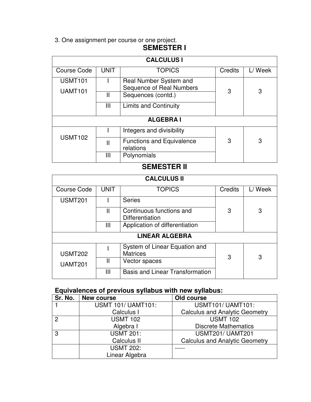## 3. One assignment per course or one project. **SEMESTER I**

| <b>CALCULUS I</b>                |               |                                                    |                |         |  |  |  |
|----------------------------------|---------------|----------------------------------------------------|----------------|---------|--|--|--|
| <b>Course Code</b>               | <b>UNIT</b>   | <b>TOPICS</b>                                      | <b>Credits</b> | L/ Week |  |  |  |
| <b>USMT101</b><br><b>UAMT101</b> |               | Real Number System and<br>Sequence of Real Numbers | 3              | 3       |  |  |  |
|                                  | Ш             | Sequences (contd.)                                 |                |         |  |  |  |
|                                  | Ш             | Limits and Continuity                              |                |         |  |  |  |
| <b>ALGEBRAI</b>                  |               |                                                    |                |         |  |  |  |
| <b>USMT102</b>                   |               | Integers and divisibility                          |                |         |  |  |  |
|                                  | $\mathsf{II}$ | <b>Functions and Equivalence</b><br>relations      | 3              | 3       |  |  |  |
|                                  | Ш             | Polynomials                                        |                |         |  |  |  |

## **SEMESTER II**

| <b>CALCULUS II</b>    |              |                                                  |         |        |  |  |
|-----------------------|--------------|--------------------------------------------------|---------|--------|--|--|
| <b>Course Code</b>    | <b>UNIT</b>  | <b>TOPICS</b>                                    | Credits | L/Week |  |  |
| <b>USMT201</b>        |              | <b>Series</b>                                    |         |        |  |  |
|                       | $\mathbf{I}$ | Continuous functions and<br>Differentiation      | 3       | 3      |  |  |
|                       | Ш            | Application of differentiation                   |         |        |  |  |
| <b>LINEAR ALGEBRA</b> |              |                                                  |         |        |  |  |
| <b>USMT202</b>        |              | System of Linear Equation and<br><b>Matrices</b> |         |        |  |  |
| <b>UAMT201</b>        | Ш            | Vector spaces                                    | 3       | 3      |  |  |
|                       | Ш            | <b>Basis and Linear Transformation</b>           |         |        |  |  |

## **Equivalences of previous syllabus with new syllabus:**

| Sr. No.       | <b>New course</b>         | Old course                            |
|---------------|---------------------------|---------------------------------------|
|               | <b>USMT 101/ UAMT101:</b> | <b>USMT101/ UAMT101:</b>              |
|               | Calculus I                | <b>Calculus and Analytic Geometry</b> |
| $\mathcal{P}$ | <b>USMT 102</b>           | <b>USMT 102</b>                       |
|               | Algebra I                 | <b>Discrete Mathematics</b>           |
| 3             | <b>USMT 201:</b>          | <b>USMT201/ UAMT201</b>               |
|               | Calculus II               | <b>Calculus and Analytic Geometry</b> |
|               | <b>USMT 202:</b>          |                                       |
|               | Linear Algebra            |                                       |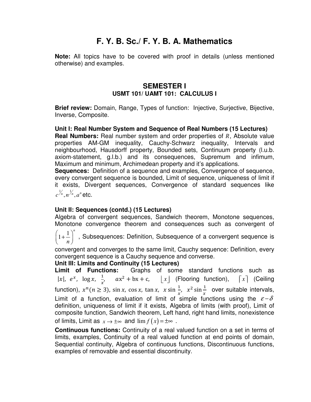## **F. Y. B. Sc./ F. Y. B. A. Mathematics**

**Note:** All topics have to be covered with proof in details (unless mentioned otherwise) and examples.

## **SEMESTER I USMT 101/ UAMT 101: CALCULUS I**

**Brief review:** Domain, Range, Types of function: Injective, Surjective, Bijective, Inverse, Composite.

## **Unit I: Real Number System and Sequence of Real Numbers (15 Lectures)**

**Real Numbers:** Real number system and order properties of R, Absolute value properties AM-GM inequality, Cauchy-Schwarz inequality, Intervals and neighbourhood, Hausdorff property, Bounded sets, Continuum property (l.u.b. axiom-statement, g.l.b.) and its consequences, Supremum and infimum, Maximum and minimum, Archimedean property and it's applications.

**Sequences:** Definition of a sequence and examples, Convergence of sequence, every convergent sequence is bounded, Limit of sequence, uniqueness of limit if it exists, Divergent sequences, Convergence of standard sequences like  $c^{\frac{1}{n}}, n^{\frac{1}{n}}, a^n$  etc.

## **Unit II: Sequences (contd.) (15 Lectures)**

Algebra of convergent sequences, Sandwich theorem, Monotone sequences, Monotone convergence theorem and consequences such as convergent of

 $1 + \frac{1}{1}$ *n*  $\left(1+\frac{1}{n}\right)^n$ , Subsequences: Definition, Subsequence of a convergent sequence is

convergent and converges to the same limit, Cauchy sequence: Definition, every convergent sequence is a Cauchy sequence and converse.

## **Unit III: Limits and Continuity (15 Lectures)**

**Limit of Functions:** Graphs of some standard functions such as |x|,  $e^x$ ,  $\log x$ ,  $\frac{1}{x'}$   $ax^2 + bx + c$ ,  $\lfloor x \rfloor$  (Flooring function),  $\lceil x \rceil$  (Ceiling function),  $x^n (n \ge 3)$ , sin x, cos x, tan x, x sin  $\frac{1}{x}$ ,  $x^2 \sin \frac{1}{x}$  over suitable intervals, Limit of a function, evaluation of limit of simple functions using the  $\varepsilon - \delta$ definition, uniqueness of limit if it exists, Algebra of limits (with proof), Limit of composite function, Sandwich theorem, Left hand, right hand limits, nonexistence of limits, Limit as  $x \to \pm \infty$  and  $\lim f(x) = \pm \infty$ .

**Continuous functions:** Continuity of a real valued function on a set in terms of limits, examples, Continuity of a real valued function at end points of domain, Sequential continuity, Algebra of continuous functions, Discontinuous functions, examples of removable and essential discontinuity.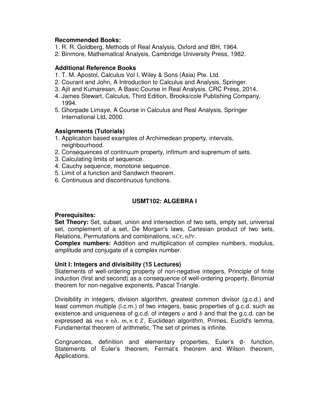#### **Recommended Books:**

- 1. R. R. Goldberg, Methods of Real Analysis, Oxford and IBH, 1964.
- 2. Binmore, Mathematical Analysis, Cambridge University Press, 1982.

#### **Additional Reference Books**

- 1. T. M. Apostol, Calculus Vol I, Wiley & Sons (Asia) Pte. Ltd.
- 2. Courant and John, A Introduction to Calculus and Analysis, Springer.
- 3. Ajit and Kumaresan, A Basic Course in Real Analysis, CRC Press, 2014.
- 4. James Stewart, Calculus, Third Edition, Brooks/cole Publishing Company, 1994.
- 5. Ghorpade Limaye, A Course in Calculus and Real Analysis, Springer International Ltd, 2000.

## **Assignments (Tutorials)**

- 1. Application based examples of Archimedean property, intervals, neighbourhood.
- 2. Consequences of continuum property, infimum and supremum of sets.
- 3. Calculating limits of sequence.
- 4. Cauchy sequence, monotone sequence.
- 5. Limit of a function and Sandwich theorem.
- 6. Continuous and discontinuous functions.

## **USMT102: ALGEBRA I**

## **Prerequisites:**

**Set Theory:** Set, subset, union and intersection of two sets, empty set, universal set, complement of a set, De Morgan's laws, Cartesian product of two sets, Relations, Permutations and combinations,  $nCr, nPr$ .

**Complex numbers:** Addition and multiplication of complex numbers, modulus, amplitude and conjugate of a complex number.

## **Unit I: Integers and divisibility (15 Lectures)**

Statements of well-ordering property of non-negative integers, Principle of finite induction (first and second) as a consequence of well-ordering property, Binomial theorem for non-negative exponents, Pascal Triangle.

Divisibility in integers, division algorithm, greatest common divisor (g.c.d.) and least common multiple (l.c.m.) of two integers, basic properties of g.c.d. such as existence and uniqueness of g.c.d. of integers  $a$  and  $b$  and that the g.c.d. can be expressed as  $ma + nb$ ,  $m, n \in \mathbb{Z}$ , Euclidean algorithm, Primes, Euclid's lemma, Fundamental theorem of arithmetic, The set of primes is infinite.

Congruences, definition and elementary properties, Euler's  $\phi$ - function, Statements of Euler's theorem, Fermat's theorem and Wilson theorem, Applications.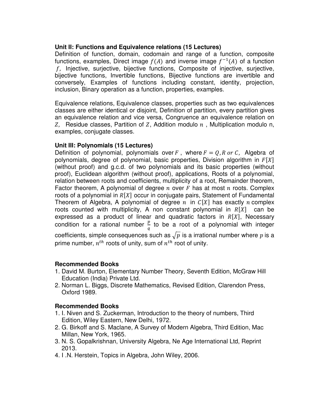## **Unit II: Functions and Equivalence relations (15 Lectures)**

Definition of function, domain, codomain and range of a function, composite functions, examples, Direct image  $f(A)$  and inverse image  $f^{-1}(A)$  of a function  $f$ , Injective, surjective, bijective functions, Composite of injective, surjective, bijective functions, Invertible functions, Bijective functions are invertible and conversely, Examples of functions including constant, identity, projection, inclusion, Binary operation as a function, properties, examples.

Equivalence relations, Equivalence classes, properties such as two equivalences classes are either identical or disjoint, Definition of partition, every partition gives an equivalence relation and vice versa, Congruence an equivalence relation on Z, Residue classes, Partition of Z, Addition modulo  $n$ , Multiplication modulo n, examples, conjugate classes.

## **Unit III: Polynomials (15 Lectures)**

Definition of polynomial, polynomials over F, where  $F = Q$ , R or C, Algebra of polynomials, degree of polynomial, basic properties, Division algorithm in  $F[X]$ . (without proof) and g.c.d. of two polynomials and its basic properties (without proof), Euclidean algorithm (without proof), applications, Roots of a polynomial, relation between roots and coefficients, multiplicity of a root, Remainder theorem, Factor theorem, A polynomial of degree  $n$  over  $F$  has at most  $n$  roots. Complex roots of a polynomial in  $R[X]$  occur in conjugate pairs, Statement of Fundamental Theorem of Algebra, A polynomial of degree n in  $C[X]$  has exactly n complex roots counted with multiplicity, A non constant polynomial in  $R[X]$  can be expressed as a product of linear and quadratic factors in  $R[X]$ , Necessary condition for a rational number  $\frac{p}{q}$  to be a root of a polynomial with integer coefficients, simple consequences such as  $\sqrt{p}$  is a irrational number where p is a prime number,  $n^{th}$  roots of unity, sum of  $n^{th}$  root of unity.

## **Recommended Books**

- 1. David M. Burton, Elementary Number Theory, Seventh Edition, McGraw Hill Education (India) Private Ltd.
- 2. Norman L. Biggs, Discrete Mathematics, Revised Edition, Clarendon Press, Oxford 1989.

## **Recommended Books**

- 1. I. Niven and S. Zuckerman, Introduction to the theory of numbers, Third Edition, Wiley Eastern, New Delhi, 1972.
- 2. G. Birkoff and S. Maclane, A Survey of Modern Algebra, Third Edition, Mac Millan, New York, 1965.
- 3. N. S. Gopalkrishnan, University Algebra, Ne Age International Ltd, Reprint 2013.
- 4. I .N. Herstein, Topics in Algebra, John Wiley, 2006.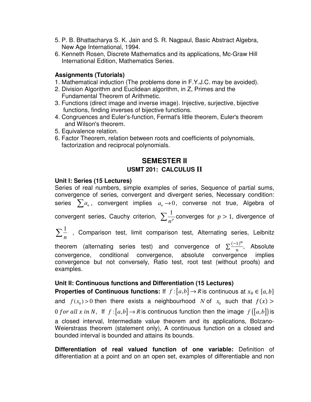- 5. P. B. Bhattacharya S. K. Jain and S. R. Nagpaul, Basic Abstract Algebra, New Age International, 1994.
- 6. Kenneth Rosen, Discrete Mathematics and its applications, Mc-Graw Hill International Edition, Mathematics Series.

## **Assignments (Tutorials)**

- 1. Mathematical induction (The problems done in F.Y.J.C. may be avoided).
- 2. Division Algorithm and Euclidean algorithm, in Z, Primes and the Fundamental Theorem of Arithmetic.
- 3. Functions (direct image and inverse image). Injective, surjective, bijective functions, finding inverses of bijective functions.
- 4. Congruences and Euler's-function, Fermat's little theorem, Euler's theorem and Wilson's theorem.
- 5. Equivalence relation.
- 6. Factor Theorem, relation between roots and coefficients of polynomials, factorization and reciprocal polynomials.

## **SEMESTER II USMT 201: CALCULUS II**

## **Unit I: Series (15 Lectures)**

Series of real numbers, simple examples of series, Sequence of partial sums, convergence of series, convergent and divergent series, Necessary condition: series  $\sum a_n$ , convergent implies  $a_n \to 0$ , converse not true, Algebra of convergent series, Cauchy criterion,  $\sum \frac{1}{n^p}$  converges for  $p > 1$ , divergence of

1  $\sum_{n=1}^{\infty}$  , Comparison test, limit comparison test, Alternating series, Leibnitz

theorem (alternating series test) and convergence of  $\sum_{n=1}^{\infty}$  $\frac{1}{n}$ , Absolute convergence, conditional convergence, absolute convergence implies convergence but not conversely, Ratio test, root test (without proofs) and examples.

## **Unit II: Continuous functions and Differentiation (15 Lectures)**

**Properties of Continuous functions:** If  $f:[a,b] \to R$  is continuous at  $x_0 \in [a,b]$ and  $f(x_0) > 0$  then there exists a neighbourhood *N* of  $x_0$  such that  $f(x) > 0$ 0 for all x in N, If  $f:[a,b]\to\mathbb{R}$  is continuous function then the image  $f([a,b])$  is a closed interval, Intermediate value theorem and its applications, Bolzano-Weierstrass theorem (statement only), A continuous function on a closed and bounded interval is bounded and attains its bounds.

**Differentiation of real valued function of one variable:** Definition of differentiation at a point and on an open set, examples of differentiable and non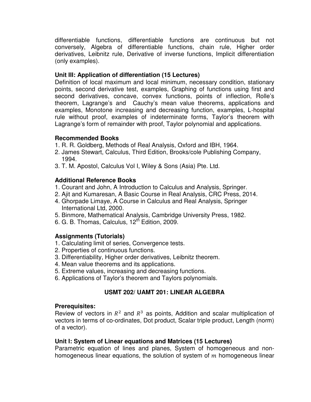differentiable functions, differentiable functions are continuous but not conversely, Algebra of differentiable functions, chain rule, Higher order derivatives, Leibnitz rule, Derivative of inverse functions, Implicit differentiation (only examples).

## **Unit III: Application of differentiation (15 Lectures)**

Definition of local maximum and local minimum, necessary condition, stationary points, second derivative test, examples, Graphing of functions using first and second derivatives, concave, convex functions, points of inflection, Rolle's theorem, Lagrange's and Cauchy's mean value theorems, applications and examples, Monotone increasing and decreasing function, examples, L-hospital rule without proof, examples of indeterminate forms, Taylor's theorem with Lagrange's form of remainder with proof, Taylor polynomial and applications.

## **Recommended Books**

- 1. R. R. Goldberg, Methods of Real Analysis, Oxford and IBH, 1964.
- 2. James Stewart, Calculus, Third Edition, Brooks/cole Publishing Company, 1994.
- 3. T. M. Apostol, Calculus Vol I, Wiley & Sons (Asia) Pte. Ltd.

## **Additional Reference Books**

- 1. Courant and John, A Introduction to Calculus and Analysis, Springer.
- 2. Ajit and Kumaresan, A Basic Course in Real Analysis, CRC Press, 2014.
- 4. Ghorpade Limaye, A Course in Calculus and Real Analysis, Springer International Ltd, 2000.
- 5. Binmore, Mathematical Analysis, Cambridge University Press, 1982.
- 6. G. B. Thomas, Calculus,  $12<sup>th</sup>$  Edition, 2009.

## **Assignments (Tutorials)**

- 1. Calculating limit of series, Convergence tests.
- 2. Properties of continuous functions.
- 3. Differentiability, Higher order derivatives, Leibnitz theorem.
- 4. Mean value theorems and its applications.
- 5. Extreme values, increasing and decreasing functions.
- 6. Applications of Taylor's theorem and Taylors polynomials.

## **USMT 202/ UAMT 201: LINEAR ALGEBRA**

## **Prerequisites:**

Review of vectors in  $R^2$  and  $R^3$  as points, Addition and scalar multiplication of vectors in terms of co-ordinates, Dot product, Scalar triple product, Length (norm) of a vector).

## **Unit I: System of Linear equations and Matrices (15 Lectures)**

Parametric equation of lines and planes, System of homogeneous and nonhomogeneous linear equations, the solution of system of  $m$  homogeneous linear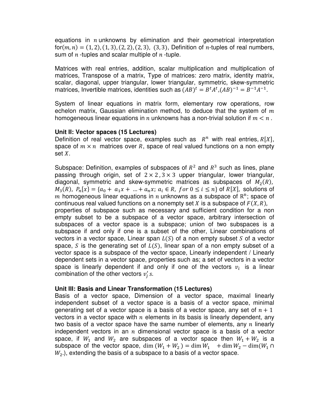equations in  $n$  unknowns by elimination and their geometrical interpretation  $for (m, n) = (1, 2), (1, 3), (2, 2), (2, 3), (3, 3),$  Definition of *n*-tuples of real numbers, sum of  $n$  -tuples and scalar multiple of  $n$  -tuple.

Matrices with real entries, addition, scalar multiplication and multiplication of matrices, Transpose of a matrix, Type of matrices: zero matrix, identity matrix, scalar, diagonal, upper triangular, lower triangular, symmetric, skew-symmetric matrices, Invertible matrices, identities such as  $(AB)^t = B^t A^t (AB)^{-1} = B^{-1}A^{-1}$ .

System of linear equations in matrix form, elementary row operations, row echelon matrix, Gaussian elimination method, to deduce that the system of  $m$ homogeneous linear equations in  $n$  unknowns has a non-trivial solution if  $m < n$ .

## **Unit II: Vector spaces (15 Lectures)**

Definition of real vector space, examples such as  $R^n$  with real entries,  $R[X]$ , space of  $m \times n$  matrices over R, space of real valued functions on a non empty set  $X$ .

Subspace: Definition, examples of subspaces of  $R^2$  and  $R^3$  such as lines, plane passing through origin, set of  $2 \times 2$ ,  $3 \times 3$  upper triangular, lower triangular, diagonal, symmetric and skew-symmetric matrices as subspaces of  $M_2(R)$ ,  $M_3(R)$ ,  $P_n[x] = \{a_0 + a_1x + ... + a_nx; a_i \in R, \text{ for } 0 \le i \le n\}$  of  $R[X]$ , solutions of m homogeneous linear equations in n unknowns as a subspace of  $R^n$ ; space of continuous real valued functions on a nonempty set X is a subspace of  $F(X, R)$ , properties of subspace such as necessary and sufficient condition for a non empty subset to be a subspace of a vector space, arbitrary intersection of subspaces of a vector space is a subspace; union of two subspaces is a subspace if and only if one is a subset of the other, Linear combinations of vectors in a vector space, Linear span  $L(S)$  of a non empty subset S of a vector space, S is the generating set of  $L(S)$ , linear span of a non empty subset of a vector space is a subspace of the vector space, Linearly independent / Linearly

dependent sets in a vector space, properties such as; a set of vectors in a vector space is linearly dependent if and only if one of the vectors  $v_i$  is a linear combination of the other vectors  $v_j$ 's.

## **Unit III: Basis and Linear Transformation (15 Lectures)**

Basis of a vector space, Dimension of a vector space, maximal linearly independent subset of a vector space is a basis of a vector space, minimal generating set of a vector space is a basis of a vector space, any set of  $n + 1$ vectors in a vector space with  $n$  elements in its basis is linearly dependent, any two basis of a vector space have the same number of elements, any  $n$  linearly independent vectors in an  $n$  dimensional vector space is a basis of a vector space, if  $W_1$  and  $W_2$  are subspaces of a vector space then  $W_1 + W_2$  is a subspace of the vector space, dim  $(W_1 + W_2) = \dim W_1 + \dim W_2 - \dim(W_1 \cap$  $W<sub>2</sub>$ ), extending the basis of a subspace to a basis of a vector space.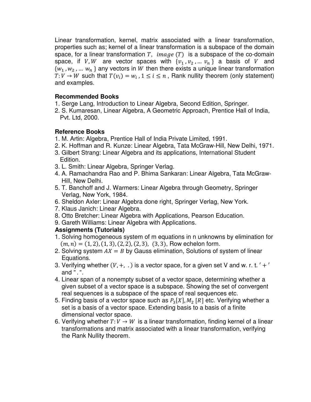Linear transformation, kernel, matrix associated with a linear transformation, properties such as; kernel of a linear transformation is a subspace of the domain space, for a linear transformation T,  $image(T)$  is a subspace of the co-domain space, if V, W are vector spaces with  $\{v_1, v_2, ..., v_n\}$  a basis of V and  ${w_1, w_2, ... w_n}$  any vectors in W then there exists a unique linear transformation  $T: V \to W$  such that  $T(v_i) = w_i$ ,  $1 \leq i \leq n$ , Rank nullity theorem (only statement) and examples.

## **Recommended Books**

- 1. Serge Lang, Introduction to Linear Algebra, Second Edition, Springer.
- 2. S. Kumaresan, Linear Algebra, A Geometric Approach, Prentice Hall of India, Pvt. Ltd, 2000.

## **Reference Books**

- 1. M. Artin: Algebra, Prentice Hall of India Private Limited, 1991.
- 2. K. Hoffman and R. Kunze: Linear Algebra, Tata McGraw-Hill, New Delhi, 1971.
- 3. Gilbert Strang: Linear Algebra and its applications, International Student Edition.
- 3. L. Smith: Linear Algebra, Springer Verlag.
- 4. A. Ramachandra Rao and P. Bhima Sankaran: Linear Algebra, Tata McGraw- Hill, New Delhi.
- 5. T. Banchoff and J. Warmers: Linear Algebra through Geometry, Springer Verlag, New York, 1984.
- 6. Sheldon Axler: Linear Algebra done right, Springer Verlag, New York.
- 7. Klaus Janich: Linear Algebra.
- 8. Otto Bretcher: Linear Algebra with Applications, Pearson Education.
- 9. Gareth Williams: Linear Algebra with Applications.

## **Assignments (Tutorials)**

- 1. Solving homogeneous system of m equations in n unknowns by elimination for  $(m, n) = (1, 2), (1, 3), (2, 2), (2, 3), (3, 3),$  Row echelon form.
- 2. Solving system  $AX = B$  by Gauss elimination, Solutions of system of linear Equations.
- 3. Verifying whether  $(V, +, \ldots)$  is a vector space, for a given set V and w. r. t.  $' + '$ and " . ".
- 4. Linear span of a nonempty subset of a vector space, determining whether a given subset of a vector space is a subspace. Showing the set of convergent real sequences is a subspace of the space of real sequences etc.
- 5. Finding basis of a vector space such as  $P_3[X]$ ,  $M_2[R]$  etc. Verifying whether a set is a basis of a vector space. Extending basis to a basis of a finite dimensional vector space.
- 6. Verifying whether  $T: V \to W$  is a linear transformation, finding kernel of a linear transformations and matrix associated with a linear transformation, verifying the Rank Nullity theorem.